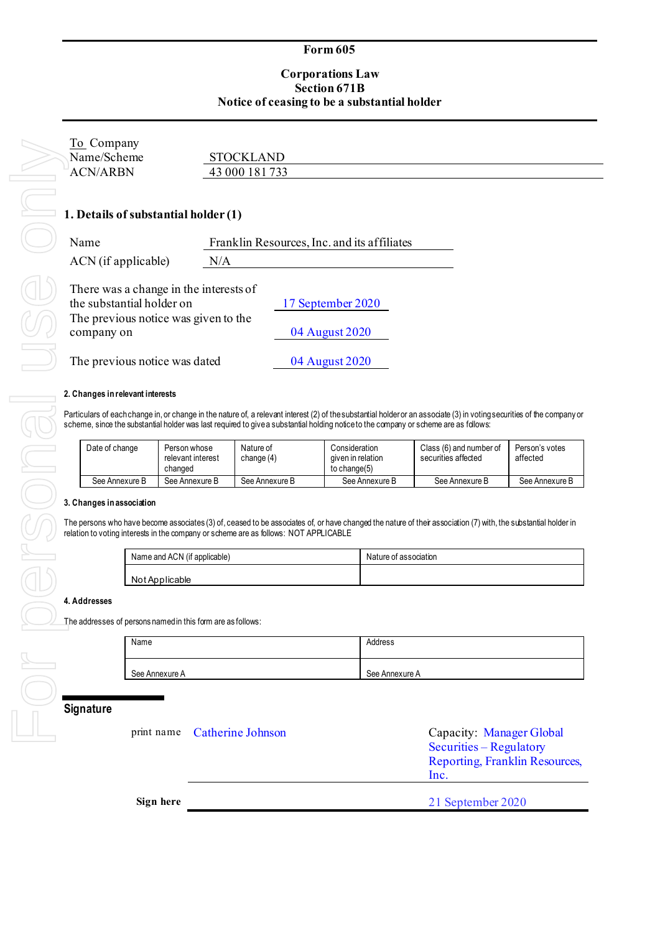### **Form 605**

# **Corporations Law Section 671B Notice of ceasing to be a substantial holder**

| To Company<br>Name/Scheme<br><b>ACN/ARBN</b>                                                                                                               | <b>STOCKLAND</b><br>43 000 181 733                    |  |
|------------------------------------------------------------------------------------------------------------------------------------------------------------|-------------------------------------------------------|--|
| 1. Details of substantial holder (1)<br>Name<br>ACN (if applicable)                                                                                        | Franklin Resources, Inc. and its affiliates<br>N/A    |  |
| There was a change in the interests of<br>the substantial holder on<br>The previous notice was given to the<br>company on<br>The previous notice was dated | 17 September 2020<br>04 August 2020<br>04 August 2020 |  |

### **2. Changes in relevant interests**

Particulars of each change in, or change in the nature of, a relevant interest (2) of the substantial holder or an associate (3) in voting securities of the company or scheme, since the substantial holder was last required to give a substantial holding notice to the company or scheme are as follows:

| Date of change | Person whose<br>relevant interest<br>changed | Nature of<br>change (4) | Consideration<br>aiven in relation<br>to change(5) | Class (6) and number of<br>securities affected | Person's votes<br>affected |
|----------------|----------------------------------------------|-------------------------|----------------------------------------------------|------------------------------------------------|----------------------------|
| See Annexure B | See Annexure B                               | See Annexure B          | See Annexure B                                     | See Annexure B                                 | See Annexure B             |

### **3. Changes in association**

The persons who have become associates (3) of, ceased to be associates of, or have changed the nature of their association (7) with, the substantial holder in relation to voting interests in the company or scheme are as follows: NOT APPLICABLE

| Name and ACN (if applicable) | Nature of association |
|------------------------------|-----------------------|
| Not Applicable               |                       |

#### **4. Addresses**

The addresses of persons named in this form are as follows:

| Name           | Address        |
|----------------|----------------|
| See Annexure A | See Annexure A |

## **Signature**

|           | print name Catherine Johnson | Capacity: Manager Global<br>Securities – Regulatory<br>Reporting, Franklin Resources,<br>Inc. |
|-----------|------------------------------|-----------------------------------------------------------------------------------------------|
| Sign here |                              | 21 September 2020                                                                             |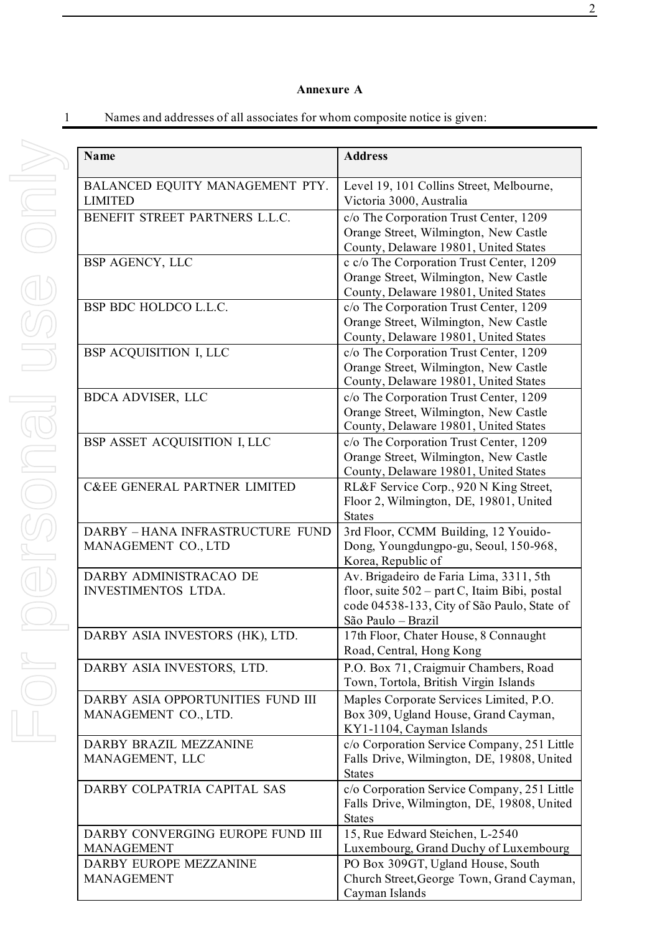## **Annexure A**

| <b>Name</b>                                                                     | <b>Address</b>                                                                                                                                                |
|---------------------------------------------------------------------------------|---------------------------------------------------------------------------------------------------------------------------------------------------------------|
| BALANCED EQUITY MANAGEMENT PTY.<br><b>LIMITED</b>                               | Level 19, 101 Collins Street, Melbourne,<br>Victoria 3000, Australia                                                                                          |
| BENEFIT STREET PARTNERS L.L.C.                                                  | c/o The Corporation Trust Center, 1209<br>Orange Street, Wilmington, New Castle<br>County, Delaware 19801, United States                                      |
| BSP AGENCY, LLC                                                                 | c c/o The Corporation Trust Center, 1209<br>Orange Street, Wilmington, New Castle<br>County, Delaware 19801, United States                                    |
| BSP BDC HOLDCO L.L.C.                                                           | c/o The Corporation Trust Center, 1209<br>Orange Street, Wilmington, New Castle<br>County, Delaware 19801, United States                                      |
| BSP ACQUISITION I, LLC                                                          | c/o The Corporation Trust Center, 1209<br>Orange Street, Wilmington, New Castle<br>County, Delaware 19801, United States                                      |
| BDCA ADVISER, LLC                                                               | c/o The Corporation Trust Center, 1209<br>Orange Street, Wilmington, New Castle<br>County, Delaware 19801, United States                                      |
| BSP ASSET ACQUISITION I, LLC                                                    | c/o The Corporation Trust Center, 1209<br>Orange Street, Wilmington, New Castle<br>County, Delaware 19801, United States                                      |
| <b>C&amp;EE GENERAL PARTNER LIMITED</b>                                         | RL&F Service Corp., 920 N King Street,<br>Floor 2, Wilmington, DE, 19801, United<br><b>States</b>                                                             |
| DARBY - HANA INFRASTRUCTURE FUND<br>MANAGEMENT CO., LTD                         | 3rd Floor, CCMM Building, 12 Youido-<br>Dong, Youngdungpo-gu, Seoul, 150-968,<br>Korea, Republic of                                                           |
| DARBY ADMINISTRACAO DE<br><b>INVESTIMENTOS LTDA.</b>                            | Av. Brigadeiro de Faria Lima, 3311, 5th<br>floor, suite 502 – part C, Itaim Bibi, postal<br>code 04538-133, City of São Paulo, State of<br>São Paulo - Brazil |
| DARBY ASIA INVESTORS (HK), LTD.                                                 | 17th Floor, Chater House, 8 Connaught<br>Road, Central, Hong Kong                                                                                             |
| DARBY ASIA INVESTORS, LTD.                                                      | P.O. Box 71, Craigmuir Chambers, Road<br>Town, Tortola, British Virgin Islands                                                                                |
| DARBY ASIA OPPORTUNITIES FUND III<br>MANAGEMENT CO., LTD.                       | Maples Corporate Services Limited, P.O.<br>Box 309, Ugland House, Grand Cayman,<br>KY1-1104, Cayman Islands                                                   |
| DARBY BRAZIL MEZZANINE<br>MANAGEMENT, LLC                                       | c/o Corporation Service Company, 251 Little<br>Falls Drive, Wilmington, DE, 19808, United<br><b>States</b>                                                    |
| DARBY COLPATRIA CAPITAL SAS                                                     | c/o Corporation Service Company, 251 Little<br>Falls Drive, Wilmington, DE, 19808, United<br><b>States</b>                                                    |
| DARBY CONVERGING EUROPE FUND III<br><b>MANAGEMENT</b><br>DARBY EUROPE MEZZANINE | 15, Rue Edward Steichen, L-2540<br>Luxembourg, Grand Duchy of Luxembourg<br>PO Box 309GT, Ugland House, South                                                 |
| <b>MANAGEMENT</b>                                                               | Church Street, George Town, Grand Cayman,<br>Cayman Islands                                                                                                   |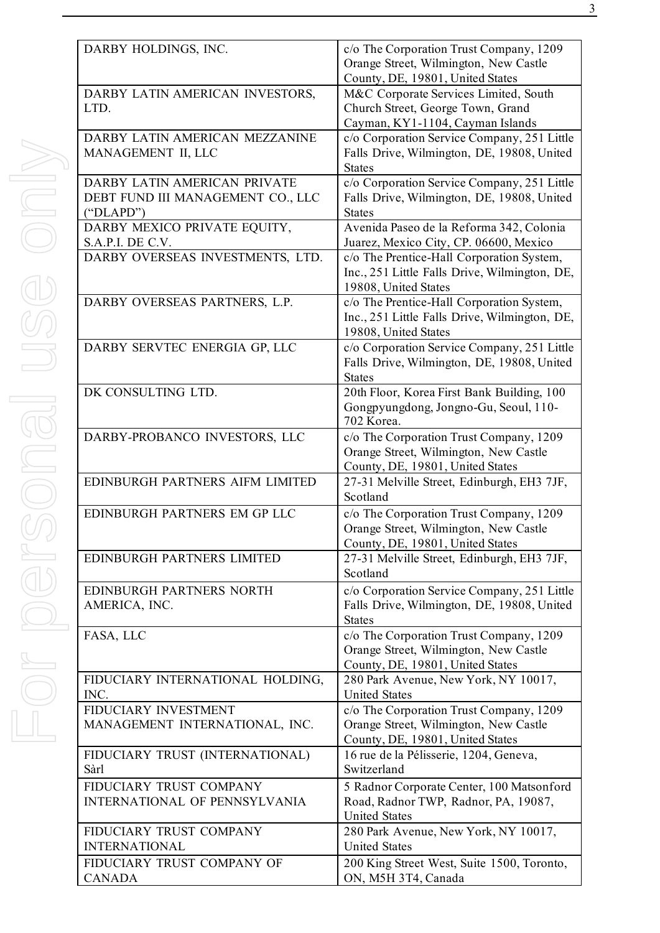| DARBY HOLDINGS, INC.                                                           | c/o The Corporation Trust Company, 1209<br>Orange Street, Wilmington, New Castle<br>County, DE, 19801, United States |
|--------------------------------------------------------------------------------|----------------------------------------------------------------------------------------------------------------------|
| DARBY LATIN AMERICAN INVESTORS,<br>LTD.                                        | M&C Corporate Services Limited, South<br>Church Street, George Town, Grand<br>Cayman, KY1-1104, Cayman Islands       |
| DARBY LATIN AMERICAN MEZZANINE<br>MANAGEMENT II, LLC                           | c/o Corporation Service Company, 251 Little<br>Falls Drive, Wilmington, DE, 19808, United<br><b>States</b>           |
| DARBY LATIN AMERICAN PRIVATE<br>DEBT FUND III MANAGEMENT CO., LLC<br>("DLAPD") | c/o Corporation Service Company, 251 Little<br>Falls Drive, Wilmington, DE, 19808, United<br><b>States</b>           |
| DARBY MEXICO PRIVATE EQUITY,<br>S.A.P.I. DE C.V.                               | Avenida Paseo de la Reforma 342, Colonia<br>Juarez, Mexico City, CP. 06600, Mexico                                   |
| DARBY OVERSEAS INVESTMENTS, LTD.                                               | c/o The Prentice-Hall Corporation System,<br>Inc., 251 Little Falls Drive, Wilmington, DE,<br>19808, United States   |
| DARBY OVERSEAS PARTNERS, L.P.                                                  | c/o The Prentice-Hall Corporation System,<br>Inc., 251 Little Falls Drive, Wilmington, DE,<br>19808, United States   |
| DARBY SERVTEC ENERGIA GP, LLC                                                  | c/o Corporation Service Company, 251 Little<br>Falls Drive, Wilmington, DE, 19808, United<br><b>States</b>           |
| DK CONSULTING LTD.                                                             | 20th Floor, Korea First Bank Building, 100<br>Gongpyungdong, Jongno-Gu, Seoul, 110-<br>702 Korea.                    |
| DARBY-PROBANCO INVESTORS, LLC                                                  | c/o The Corporation Trust Company, 1209<br>Orange Street, Wilmington, New Castle<br>County, DE, 19801, United States |
| EDINBURGH PARTNERS AIFM LIMITED                                                | 27-31 Melville Street, Edinburgh, EH3 7JF,<br>Scotland                                                               |
| EDINBURGH PARTNERS EM GP LLC                                                   | c/o The Corporation Trust Company, 1209<br>Orange Street, Wilmington, New Castle<br>County, DE, 19801, United States |
| EDINBURGH PARTNERS LIMITED                                                     | 27-31 Melville Street, Edinburgh, EH3 7JF,<br>Scotland                                                               |
| EDINBURGH PARTNERS NORTH<br>AMERICA, INC.                                      | c/o Corporation Service Company, 251 Little<br>Falls Drive, Wilmington, DE, 19808, United<br><b>States</b>           |
| FASA, LLC                                                                      | c/o The Corporation Trust Company, 1209<br>Orange Street, Wilmington, New Castle<br>County, DE, 19801, United States |
| FIDUCIARY INTERNATIONAL HOLDING,<br>INC.                                       | 280 Park Avenue, New York, NY 10017,<br><b>United States</b>                                                         |
| FIDUCIARY INVESTMENT<br>MANAGEMENT INTERNATIONAL, INC.                         | c/o The Corporation Trust Company, 1209<br>Orange Street, Wilmington, New Castle<br>County, DE, 19801, United States |
| FIDUCIARY TRUST (INTERNATIONAL)<br>Sàrl                                        | 16 rue de la Pélisserie, 1204, Geneva,<br>Switzerland                                                                |
| FIDUCIARY TRUST COMPANY<br><b>INTERNATIONAL OF PENNSYLVANIA</b>                | 5 Radnor Corporate Center, 100 Matsonford<br>Road, Radnor TWP, Radnor, PA, 19087,<br><b>United States</b>            |
| FIDUCIARY TRUST COMPANY<br><b>INTERNATIONAL</b>                                | 280 Park Avenue, New York, NY 10017,<br><b>United States</b>                                                         |
| FIDUCIARY TRUST COMPANY OF<br><b>CANADA</b>                                    | 200 King Street West, Suite 1500, Toronto,<br>ON, M5H 3T4, Canada                                                    |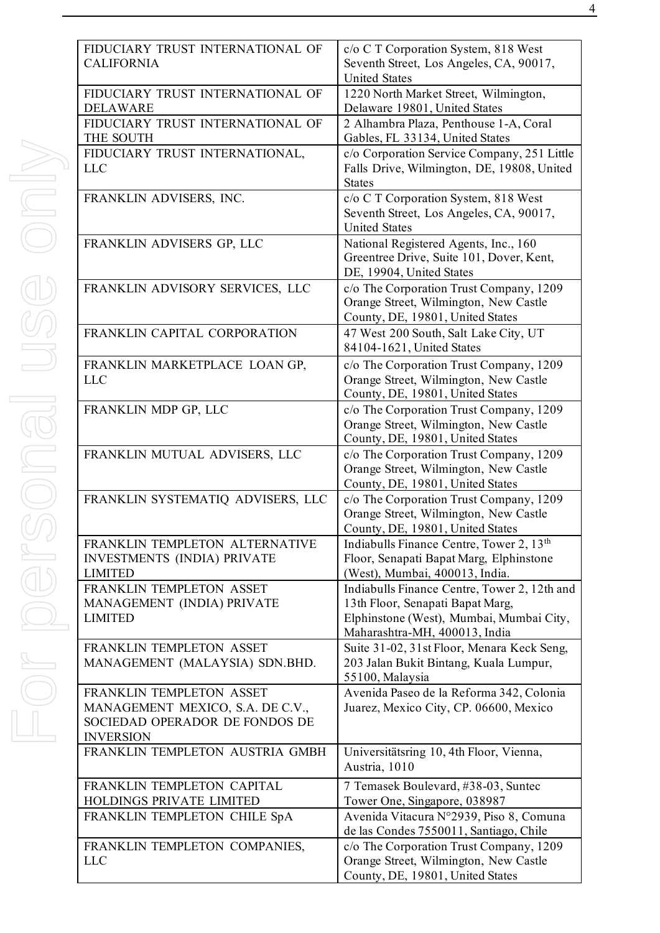| FIDUCIARY TRUST INTERNATIONAL OF<br><b>CALIFORNIA</b>                                                              | c/o C T Corporation System, 818 West<br>Seventh Street, Los Angeles, CA, 90017,<br><b>United States</b>                                                       |
|--------------------------------------------------------------------------------------------------------------------|---------------------------------------------------------------------------------------------------------------------------------------------------------------|
| FIDUCIARY TRUST INTERNATIONAL OF<br><b>DELAWARE</b>                                                                | 1220 North Market Street, Wilmington,<br>Delaware 19801, United States                                                                                        |
| FIDUCIARY TRUST INTERNATIONAL OF<br>THE SOUTH                                                                      | 2 Alhambra Plaza, Penthouse 1-A, Coral<br>Gables, FL 33134, United States                                                                                     |
| FIDUCIARY TRUST INTERNATIONAL,<br><b>LLC</b>                                                                       | c/o Corporation Service Company, 251 Little<br>Falls Drive, Wilmington, DE, 19808, United<br><b>States</b>                                                    |
| FRANKLIN ADVISERS, INC.                                                                                            | c/o C T Corporation System, 818 West<br>Seventh Street, Los Angeles, CA, 90017,<br><b>United States</b>                                                       |
| FRANKLIN ADVISERS GP, LLC                                                                                          | National Registered Agents, Inc., 160<br>Greentree Drive, Suite 101, Dover, Kent,<br>DE, 19904, United States                                                 |
| FRANKLIN ADVISORY SERVICES, LLC                                                                                    | c/o The Corporation Trust Company, 1209<br>Orange Street, Wilmington, New Castle<br>County, DE, 19801, United States                                          |
| FRANKLIN CAPITAL CORPORATION                                                                                       | 47 West 200 South, Salt Lake City, UT<br>84104-1621, United States                                                                                            |
| FRANKLIN MARKETPLACE LOAN GP,<br><b>LLC</b>                                                                        | c/o The Corporation Trust Company, 1209<br>Orange Street, Wilmington, New Castle<br>County, DE, 19801, United States                                          |
| FRANKLIN MDP GP, LLC                                                                                               | c/o The Corporation Trust Company, 1209<br>Orange Street, Wilmington, New Castle<br>County, DE, 19801, United States                                          |
| FRANKLIN MUTUAL ADVISERS, LLC                                                                                      | c/o The Corporation Trust Company, 1209<br>Orange Street, Wilmington, New Castle<br>County, DE, 19801, United States                                          |
| FRANKLIN SYSTEMATIQ ADVISERS, LLC                                                                                  | c/o The Corporation Trust Company, 1209<br>Orange Street, Wilmington, New Castle<br>County, DE, 19801, United States                                          |
| FRANKLIN TEMPLETON ALTERNATIVE<br><b>INVESTMENTS (INDIA) PRIVATE</b><br><b>LIMITED</b>                             | Indiabulls Finance Centre, Tower 2, 13 <sup>th</sup><br>Floor, Senapati Bapat Marg, Elphinstone<br>(West), Mumbai, 400013, India.                             |
| FRANKLIN TEMPLETON ASSET<br>MANAGEMENT (INDIA) PRIVATE<br><b>LIMITED</b>                                           | Indiabulls Finance Centre, Tower 2, 12th and<br>13th Floor, Senapati Bapat Marg,<br>Elphinstone (West), Mumbai, Mumbai City,<br>Maharashtra-MH, 400013, India |
| FRANKLIN TEMPLETON ASSET<br>MANAGEMENT (MALAYSIA) SDN.BHD.                                                         | Suite 31-02, 31st Floor, Menara Keck Seng,<br>203 Jalan Bukit Bintang, Kuala Lumpur,<br>55100, Malaysia                                                       |
| FRANKLIN TEMPLETON ASSET<br>MANAGEMENT MEXICO, S.A. DE C.V.,<br>SOCIEDAD OPERADOR DE FONDOS DE<br><b>INVERSION</b> | Avenida Paseo de la Reforma 342, Colonia<br>Juarez, Mexico City, CP. 06600, Mexico                                                                            |
| FRANKLIN TEMPLETON AUSTRIA GMBH                                                                                    | Universitätsring 10, 4th Floor, Vienna,<br>Austria, 1010                                                                                                      |
| FRANKLIN TEMPLETON CAPITAL<br>HOLDINGS PRIVATE LIMITED                                                             | 7 Temasek Boulevard, #38-03, Suntec<br>Tower One, Singapore, 038987                                                                                           |
| FRANKLIN TEMPLETON CHILE SpA                                                                                       | Avenida Vitacura N°2939, Piso 8, Comuna<br>de las Condes 7550011, Santiago, Chile                                                                             |
| FRANKLIN TEMPLETON COMPANIES,<br><b>LLC</b>                                                                        | c/o The Corporation Trust Company, 1209<br>Orange Street, Wilmington, New Castle                                                                              |

County, DE, 19801, United States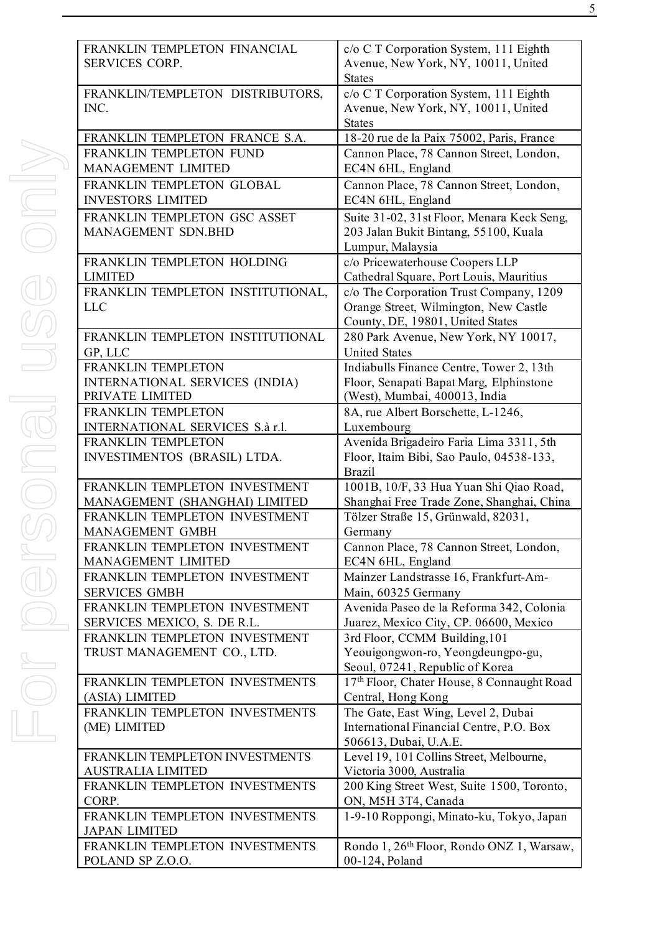| FRANKLIN TEMPLETON FINANCIAL<br><b>SERVICES CORP.</b>        | c/o C T Corporation System, 111 Eighth<br>Avenue, New York, NY, 10011, United<br><b>States</b>                       |
|--------------------------------------------------------------|----------------------------------------------------------------------------------------------------------------------|
| FRANKLIN/TEMPLETON DISTRIBUTORS,<br>INC.                     | c/o C T Corporation System, 111 Eighth<br>Avenue, New York, NY, 10011, United<br><b>States</b>                       |
| FRANKLIN TEMPLETON FRANCE S.A.                               | 18-20 rue de la Paix 75002, Paris, France                                                                            |
| FRANKLIN TEMPLETON FUND<br>MANAGEMENT LIMITED                | Cannon Place, 78 Cannon Street, London,<br>EC4N 6HL, England                                                         |
| FRANKLIN TEMPLETON GLOBAL<br><b>INVESTORS LIMITED</b>        | Cannon Place, 78 Cannon Street, London,<br>EC4N 6HL, England                                                         |
| FRANKLIN TEMPLETON GSC ASSET<br>MANAGEMENT SDN.BHD           | Suite 31-02, 31st Floor, Menara Keck Seng,<br>203 Jalan Bukit Bintang, 55100, Kuala<br>Lumpur, Malaysia              |
| FRANKLIN TEMPLETON HOLDING<br><b>LIMITED</b>                 | c/o Pricewaterhouse Coopers LLP<br>Cathedral Square, Port Louis, Mauritius                                           |
| FRANKLIN TEMPLETON INSTITUTIONAL,<br><b>LLC</b>              | c/o The Corporation Trust Company, 1209<br>Orange Street, Wilmington, New Castle<br>County, DE, 19801, United States |
| FRANKLIN TEMPLETON INSTITUTIONAL<br>GP, LLC                  | 280 Park Avenue, New York, NY 10017,<br><b>United States</b>                                                         |
| FRANKLIN TEMPLETON                                           | Indiabulls Finance Centre, Tower 2, 13th                                                                             |
| INTERNATIONAL SERVICES (INDIA)                               | Floor, Senapati Bapat Marg, Elphinstone                                                                              |
| PRIVATE LIMITED                                              | (West), Mumbai, 400013, India                                                                                        |
| FRANKLIN TEMPLETON<br>INTERNATIONAL SERVICES S.à r.l.        | 8A, rue Albert Borschette, L-1246,                                                                                   |
| FRANKLIN TEMPLETON                                           | Luxembourg<br>Avenida Brigadeiro Faria Lima 3311, 5th                                                                |
| INVESTIMENTOS (BRASIL) LTDA.                                 | Floor, Itaim Bibi, Sao Paulo, 04538-133,<br><b>Brazil</b>                                                            |
| FRANKLIN TEMPLETON INVESTMENT                                | 1001B, 10/F, 33 Hua Yuan Shi Qiao Road,                                                                              |
| MANAGEMENT (SHANGHAI) LIMITED                                | Shanghai Free Trade Zone, Shanghai, China                                                                            |
| FRANKLIN TEMPLETON INVESTMENT                                | Tölzer Straße 15, Grünwald, 82031,                                                                                   |
| MANAGEMENT GMBH                                              | Germany                                                                                                              |
| FRANKLIN TEMPLETON INVESTMENT<br>MANAGEMENT LIMITED          | Cannon Place, 78 Cannon Street, London,<br>EC4N 6HL, England                                                         |
| FRANKLIN TEMPLETON INVESTMENT                                | Mainzer Landstrasse 16, Frankfurt-Am-                                                                                |
| <b>SERVICES GMBH</b>                                         | Main, 60325 Germany                                                                                                  |
| FRANKLIN TEMPLETON INVESTMENT                                | Avenida Paseo de la Reforma 342, Colonia                                                                             |
| SERVICES MEXICO, S. DE R.L.<br>FRANKLIN TEMPLETON INVESTMENT | Juarez, Mexico City, CP. 06600, Mexico<br>3rd Floor, CCMM Building, 101                                              |
| TRUST MANAGEMENT CO., LTD.                                   | Yeouigongwon-ro, Yeongdeungpo-gu,<br>Seoul, 07241, Republic of Korea                                                 |
| FRANKLIN TEMPLETON INVESTMENTS                               | 17th Floor, Chater House, 8 Connaught Road                                                                           |
| (ASIA) LIMITED                                               | Central, Hong Kong                                                                                                   |
| FRANKLIN TEMPLETON INVESTMENTS                               | The Gate, East Wing, Level 2, Dubai                                                                                  |
| (ME) LIMITED                                                 | International Financial Centre, P.O. Box<br>506613, Dubai, U.A.E.                                                    |
| FRANKLIN TEMPLETON INVESTMENTS                               | Level 19, 101 Collins Street, Melbourne,                                                                             |
| <b>AUSTRALIA LIMITED</b><br>FRANKLIN TEMPLETON INVESTMENTS   | Victoria 3000, Australia<br>200 King Street West, Suite 1500, Toronto,                                               |
| CORP.                                                        | ON, M5H 3T4, Canada                                                                                                  |
| FRANKLIN TEMPLETON INVESTMENTS<br><b>JAPAN LIMITED</b>       | 1-9-10 Roppongi, Minato-ku, Tokyo, Japan                                                                             |
| FRANKLIN TEMPLETON INVESTMENTS                               | Rondo 1, 26 <sup>th</sup> Floor, Rondo ONZ 1, Warsaw,                                                                |
| POLAND SP Z.O.O.                                             | 00-124, Poland                                                                                                       |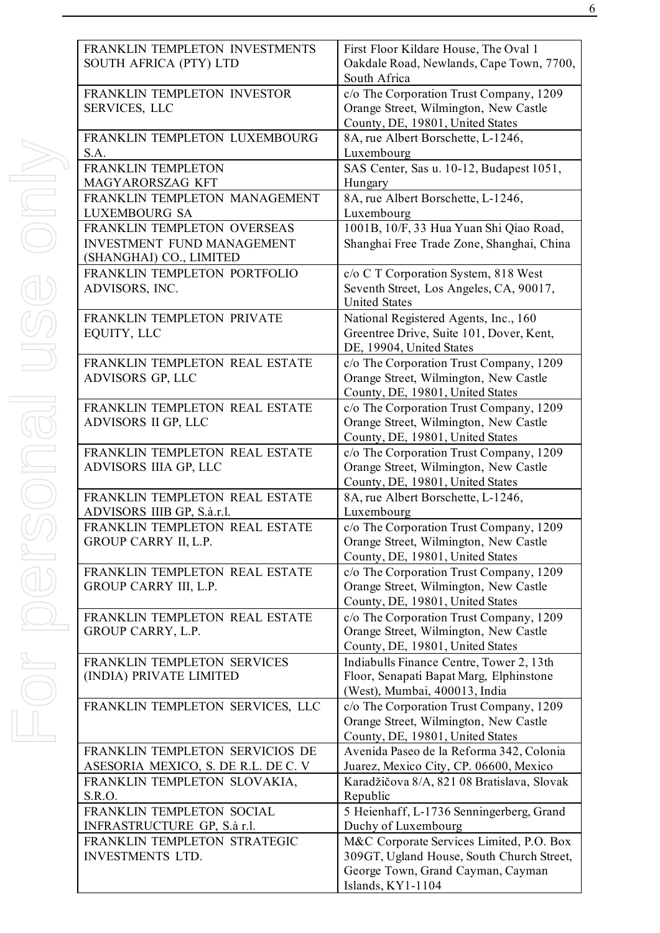| <b>FRANKLIN</b><br><b>SOUTH AF</b><br><b>FRANKLIN</b><br>SERVICES,<br><b>FRANKLIN</b><br><b>FRANKLIN</b><br><b>MAGYARC</b> |
|----------------------------------------------------------------------------------------------------------------------------|
|                                                                                                                            |
|                                                                                                                            |
|                                                                                                                            |
|                                                                                                                            |
|                                                                                                                            |
| <b>FRANKLIN</b>                                                                                                            |
| <b>LUXEMBO</b>                                                                                                             |
| <b>FRANKLIN</b>                                                                                                            |
| <b>INVESTME</b>                                                                                                            |
| (SHANGHA                                                                                                                   |
| <b>FRANKLIN</b>                                                                                                            |
| <b>ADVISORS</b>                                                                                                            |
| <b>FRANKLIN</b>                                                                                                            |
| EQUITY, L                                                                                                                  |
| <b>FRANKLIN</b>                                                                                                            |
| <b>ADVISORS</b>                                                                                                            |
| <b>FRANKLIN</b>                                                                                                            |
| <b>ADVISORS</b>                                                                                                            |
| <b>FRANKLIN</b>                                                                                                            |
| <b>ADVISORS</b>                                                                                                            |
| <b>FRANKLIN</b>                                                                                                            |
| <b>ADVISORS</b>                                                                                                            |
| FRANKLIN                                                                                                                   |
| <b>GROUP CA</b>                                                                                                            |
| <b>FRANKLIN</b>                                                                                                            |
| <b>GROUP CA</b>                                                                                                            |
| <b>FRANKLIN</b>                                                                                                            |
| <b>GROUP CA</b>                                                                                                            |
| <b>FRANKLIN</b>                                                                                                            |
| (INDIA) PR                                                                                                                 |
| <b>FRANKLIN</b>                                                                                                            |
|                                                                                                                            |
| <b>FRANKLIN</b>                                                                                                            |
|                                                                                                                            |

| FRANKLIN TEMPLETON INVESTMENTS<br>SOUTH AFRICA (PTY) LTD                             | First Floor Kildare House, The Oval 1<br>Oakdale Road, Newlands, Cape Town, 7700,<br>South Africa                    |
|--------------------------------------------------------------------------------------|----------------------------------------------------------------------------------------------------------------------|
| FRANKLIN TEMPLETON INVESTOR<br>SERVICES, LLC                                         | c/o The Corporation Trust Company, 1209<br>Orange Street, Wilmington, New Castle<br>County, DE, 19801, United States |
| FRANKLIN TEMPLETON LUXEMBOURG<br>S.A.                                                | 8A, rue Albert Borschette, L-1246,<br>Luxembourg                                                                     |
| <b>FRANKLIN TEMPLETON</b><br>MAGYARORSZAG KFT                                        | SAS Center, Sas u. 10-12, Budapest 1051,<br>Hungary                                                                  |
| FRANKLIN TEMPLETON MANAGEMENT<br>LUXEMBOURG SA                                       | 8A, rue Albert Borschette, L-1246,<br>Luxembourg                                                                     |
| FRANKLIN TEMPLETON OVERSEAS<br>INVESTMENT FUND MANAGEMENT<br>(SHANGHAI) CO., LIMITED | 1001B, 10/F, 33 Hua Yuan Shi Qiao Road,<br>Shanghai Free Trade Zone, Shanghai, China                                 |
| FRANKLIN TEMPLETON PORTFOLIO<br>ADVISORS, INC.                                       | c/o C T Corporation System, 818 West<br>Seventh Street, Los Angeles, CA, 90017,<br><b>United States</b>              |
| FRANKLIN TEMPLETON PRIVATE<br>EQUITY, LLC                                            | National Registered Agents, Inc., 160<br>Greentree Drive, Suite 101, Dover, Kent,<br>DE, 19904, United States        |
| FRANKLIN TEMPLETON REAL ESTATE<br>ADVISORS GP, LLC                                   | c/o The Corporation Trust Company, 1209<br>Orange Street, Wilmington, New Castle<br>County, DE, 19801, United States |
| FRANKLIN TEMPLETON REAL ESTATE<br>ADVISORS II GP, LLC                                | c/o The Corporation Trust Company, 1209<br>Orange Street, Wilmington, New Castle<br>County, DE, 19801, United States |
| FRANKLIN TEMPLETON REAL ESTATE<br>ADVISORS IIIA GP, LLC                              | c/o The Corporation Trust Company, 1209<br>Orange Street, Wilmington, New Castle<br>County, DE, 19801, United States |
| FRANKLIN TEMPLETON REAL ESTATE<br>ADVISORS IIIB GP, S.à.r.l.                         | 8A, rue Albert Borschette, L-1246,<br>Luxembourg                                                                     |
| FRANKLIN TEMPLETON REAL ESTATE<br>GROUP CARRY II, L.P.                               | c/o The Corporation Trust Company, 1209<br>Orange Street, Wilmington, New Castle<br>County, DE, 19801, United States |
| FRANKLIN TEMPLETON REAL ESTATE<br>GROUP CARRY III, L.P.                              | c/o The Corporation Trust Company, 1209<br>Orange Street, Wilmington, New Castle<br>County, DE, 19801, United States |
| FRANKLIN TEMPLETON REAL ESTATE<br>GROUP CARRY, L.P.                                  | c/o The Corporation Trust Company, 1209<br>Orange Street, Wilmington, New Castle<br>County, DE, 19801, United States |
| FRANKLIN TEMPLETON SERVICES<br>(INDIA) PRIVATE LIMITED                               | Indiabulls Finance Centre, Tower 2, 13th<br>Floor, Senapati Bapat Marg, Elphinstone<br>(West), Mumbai, 400013, India |
| FRANKLIN TEMPLETON SERVICES, LLC                                                     | c/o The Corporation Trust Company, 1209<br>Orange Street, Wilmington, New Castle<br>County, DE, 19801, United States |
| FRANKLIN TEMPLETON SERVICIOS DE                                                      | Avenida Paseo de la Reforma 342, Colonia                                                                             |
| ASESORIA MEXICO, S. DE R.L. DE C. V                                                  | Juarez, Mexico City, CP. 06600, Mexico                                                                               |
| FRANKLIN TEMPLETON SLOVAKIA,<br>S.R.O.                                               | Karadžičova 8/A, 821 08 Bratislava, Slovak<br>Republic                                                               |
| FRANKLIN TEMPLETON SOCIAL                                                            | 5 Heienhaff, L-1736 Senningerberg, Grand                                                                             |
| INFRASTRUCTURE GP, S.à r.l.                                                          | Duchy of Luxembourg                                                                                                  |
| FRANKLIN TEMPLETON STRATEGIC<br><b>INVESTMENTS LTD.</b>                              | M&C Corporate Services Limited, P.O. Box<br>309GT, Ugland House, South Church Street,                                |
|                                                                                      | George Town, Grand Cayman, Cayman                                                                                    |
|                                                                                      | Islands, KY1-1104                                                                                                    |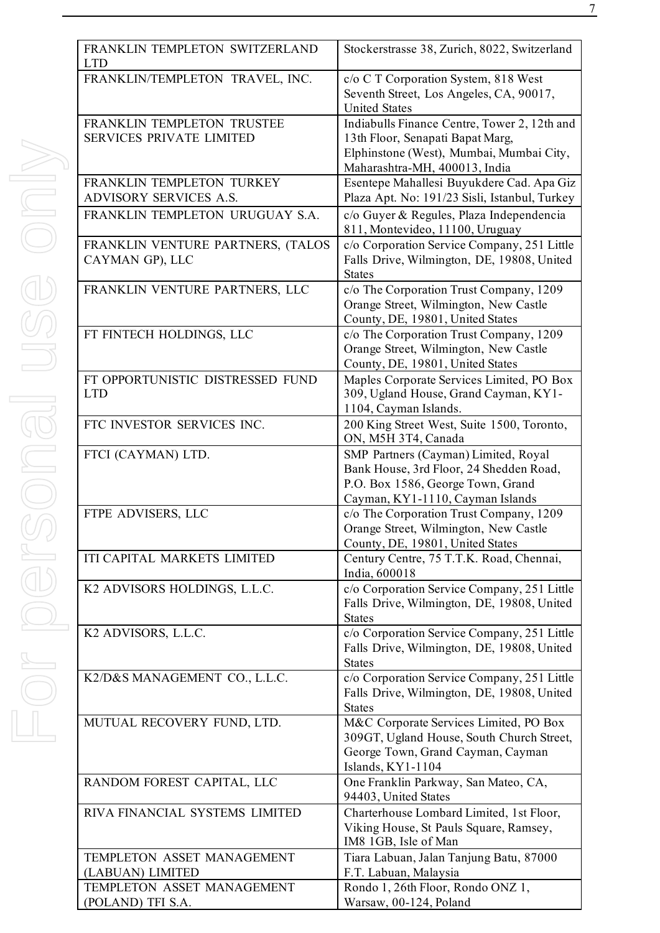| FRANKLIN TEMPLETON SWITZERLAND<br><b>LTD</b> | Stockerstrasse 38, Zurich, 8022, Switzerland                                                            |
|----------------------------------------------|---------------------------------------------------------------------------------------------------------|
| FRANKLIN/TEMPLETON TRAVEL, INC.              | c/o C T Corporation System, 818 West<br>Seventh Street, Los Angeles, CA, 90017,<br><b>United States</b> |
| FRANKLIN TEMPLETON TRUSTEE                   | Indiabulls Finance Centre, Tower 2, 12th and                                                            |
| <b>SERVICES PRIVATE LIMITED</b>              | 13th Floor, Senapati Bapat Marg,                                                                        |
|                                              | Elphinstone (West), Mumbai, Mumbai City,                                                                |
|                                              | Maharashtra-MH, 400013, India                                                                           |
| FRANKLIN TEMPLETON TURKEY                    | Esentepe Mahallesi Buyukdere Cad. Apa Giz                                                               |
| ADVISORY SERVICES A.S.                       | Plaza Apt. No: 191/23 Sisli, Istanbul, Turkey                                                           |
| FRANKLIN TEMPLETON URUGUAY S.A.              | c/o Guyer & Regules, Plaza Independencia                                                                |
|                                              | 811, Montevideo, 11100, Uruguay                                                                         |
| FRANKLIN VENTURE PARTNERS, (TALOS            | c/o Corporation Service Company, 251 Little                                                             |
| CAYMAN GP), LLC                              | Falls Drive, Wilmington, DE, 19808, United                                                              |
|                                              | <b>States</b>                                                                                           |
| FRANKLIN VENTURE PARTNERS, LLC               | c/o The Corporation Trust Company, 1209                                                                 |
|                                              | Orange Street, Wilmington, New Castle                                                                   |
|                                              | County, DE, 19801, United States                                                                        |
|                                              |                                                                                                         |
| FT FINTECH HOLDINGS, LLC                     | c/o The Corporation Trust Company, 1209                                                                 |
|                                              | Orange Street, Wilmington, New Castle                                                                   |
|                                              | County, DE, 19801, United States                                                                        |
| FT OPPORTUNISTIC DISTRESSED FUND             | Maples Corporate Services Limited, PO Box                                                               |
| <b>LTD</b>                                   | 309, Ugland House, Grand Cayman, KY1-                                                                   |
|                                              | 1104, Cayman Islands.                                                                                   |
| FTC INVESTOR SERVICES INC.                   | 200 King Street West, Suite 1500, Toronto,                                                              |
|                                              | ON, M5H 3T4, Canada                                                                                     |
| FTCI (CAYMAN) LTD.                           | SMP Partners (Cayman) Limited, Royal                                                                    |
|                                              | Bank House, 3rd Floor, 24 Shedden Road,                                                                 |
|                                              | P.O. Box 1586, George Town, Grand                                                                       |
|                                              | Cayman, KY1-1110, Cayman Islands                                                                        |
| FTPE ADVISERS, LLC                           | c/o The Corporation Trust Company, 1209                                                                 |
|                                              | Orange Street, Wilmington, New Castle                                                                   |
|                                              | County, DE, 19801, United States                                                                        |
| ITI CAPITAL MARKETS LIMITED                  | Century Centre, 75 T.T.K. Road, Chennai,                                                                |
|                                              | India, 600018                                                                                           |
| K2 ADVISORS HOLDINGS, L.L.C.                 | c/o Corporation Service Company, 251 Little                                                             |
|                                              | Falls Drive, Wilmington, DE, 19808, United                                                              |
|                                              | <b>States</b>                                                                                           |
| K2 ADVISORS, L.L.C.                          | c/o Corporation Service Company, 251 Little                                                             |
|                                              | Falls Drive, Wilmington, DE, 19808, United                                                              |
|                                              | <b>States</b>                                                                                           |
| K2/D&S MANAGEMENT CO., L.L.C.                | c/o Corporation Service Company, 251 Little                                                             |
|                                              | Falls Drive, Wilmington, DE, 19808, United                                                              |
|                                              | <b>States</b>                                                                                           |
| MUTUAL RECOVERY FUND, LTD.                   | M&C Corporate Services Limited, PO Box                                                                  |
|                                              | 309GT, Ugland House, South Church Street,                                                               |
|                                              | George Town, Grand Cayman, Cayman                                                                       |
|                                              | Islands, KY1-1104                                                                                       |
| RANDOM FOREST CAPITAL, LLC                   | One Franklin Parkway, San Mateo, CA,<br>94403, United States                                            |
| RIVA FINANCIAL SYSTEMS LIMITED               | Charterhouse Lombard Limited, 1st Floor,                                                                |
|                                              | Viking House, St Pauls Square, Ramsey,                                                                  |
|                                              | IM8 1GB, Isle of Man                                                                                    |
| TEMPLETON ASSET MANAGEMENT                   | Tiara Labuan, Jalan Tanjung Batu, 87000                                                                 |
| (LABUAN) LIMITED                             | F.T. Labuan, Malaysia                                                                                   |
| TEMPLETON ASSET MANAGEMENT                   | Rondo 1, 26th Floor, Rondo ONZ 1,                                                                       |
| (POLAND) TFI S.A.                            | Warsaw, 00-124, Poland                                                                                  |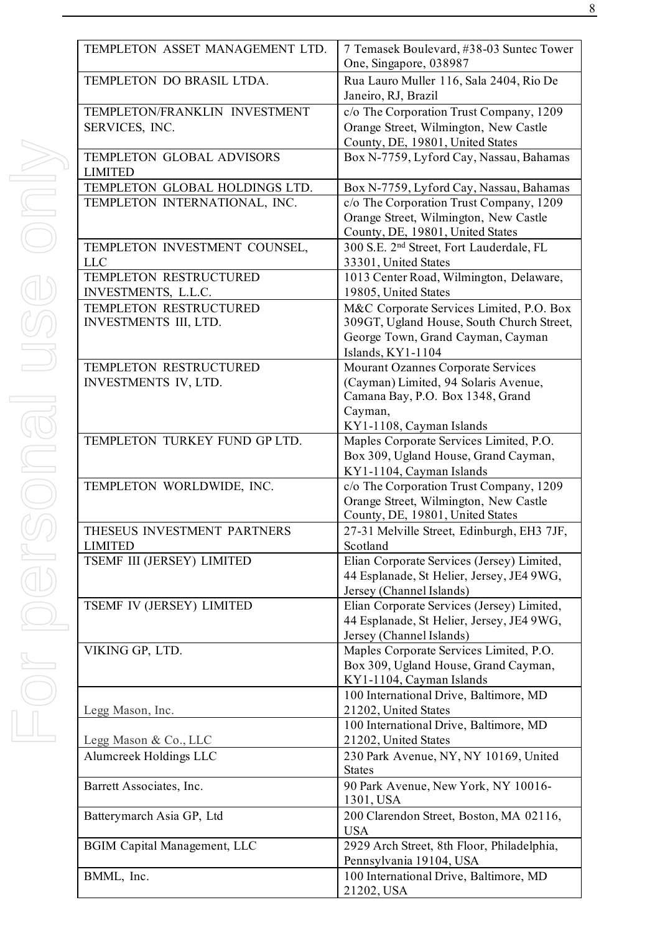| <b>TEMPLETON</b>                      |
|---------------------------------------|
| <b>TEMPLETON</b>                      |
| TEMPLETON/<br>SERVICES, IN            |
| <b>TEMPLETON</b><br><b>LIMITED</b>    |
| <b>TEMPLETON</b><br><b>TEMPLETON</b>  |
|                                       |
| <b>TEMPLETON</b><br><b>LLC</b>        |
| <b>TEMPLETON</b>                      |
| <b>INVESTMENT</b>                     |
| <b>TEMPLETON</b><br><b>INVESTMENT</b> |
| <b>TEMPLETON</b>                      |
| <b>INVESTMENT</b>                     |
|                                       |
|                                       |
| <b>TEMPLETON</b>                      |
| <b>TEMPLETON</b>                      |
|                                       |
| THESEUS INV<br><b>LIMITED</b>         |
| TSEMF III (JE                         |
|                                       |
| <b>TSEMF IV (JE</b>                   |
| VIKING GP, L                          |
|                                       |
| Legg Mason, In                        |
| Legg Mason &                          |
| Alumcreek Ho                          |

| TEMPLETON ASSET MANAGEMENT LTD.     | 7 Temasek Boulevard, #38-03 Suntec Tower<br>One, Singapore, 038987 |  |  |
|-------------------------------------|--------------------------------------------------------------------|--|--|
| TEMPLETON DO BRASIL LTDA.           | Rua Lauro Muller 116, Sala 2404, Rio De<br>Janeiro, RJ, Brazil     |  |  |
| TEMPLETON/FRANKLIN INVESTMENT       | c/o The Corporation Trust Company, 1209                            |  |  |
| SERVICES, INC.                      | Orange Street, Wilmington, New Castle                              |  |  |
|                                     | County, DE, 19801, United States                                   |  |  |
| TEMPLETON GLOBAL ADVISORS           | Box N-7759, Lyford Cay, Nassau, Bahamas                            |  |  |
| <b>LIMITED</b>                      |                                                                    |  |  |
| TEMPLETON GLOBAL HOLDINGS LTD.      | Box N-7759, Lyford Cay, Nassau, Bahamas                            |  |  |
| TEMPLETON INTERNATIONAL, INC.       | c/o The Corporation Trust Company, 1209                            |  |  |
|                                     | Orange Street, Wilmington, New Castle                              |  |  |
|                                     |                                                                    |  |  |
|                                     | County, DE, 19801, United States                                   |  |  |
| TEMPLETON INVESTMENT COUNSEL,       | 300 S.E. 2 <sup>nd</sup> Street, Fort Lauderdale, FL               |  |  |
| <b>LLC</b>                          | 33301, United States                                               |  |  |
| TEMPLETON RESTRUCTURED              | 1013 Center Road, Wilmington, Delaware,                            |  |  |
| INVESTMENTS, L.L.C.                 | 19805, United States                                               |  |  |
| TEMPLETON RESTRUCTURED              | M&C Corporate Services Limited, P.O. Box                           |  |  |
| INVESTMENTS III, LTD.               | 309GT, Ugland House, South Church Street,                          |  |  |
|                                     | George Town, Grand Cayman, Cayman<br>Islands, KY1-1104             |  |  |
| TEMPLETON RESTRUCTURED              | Mourant Ozannes Corporate Services                                 |  |  |
| INVESTMENTS IV, LTD.                | (Cayman) Limited, 94 Solaris Avenue,                               |  |  |
|                                     | Camana Bay, P.O. Box 1348, Grand                                   |  |  |
|                                     | Cayman,                                                            |  |  |
|                                     | KY1-1108, Cayman Islands                                           |  |  |
| TEMPLETON TURKEY FUND GP LTD.       | Maples Corporate Services Limited, P.O.                            |  |  |
|                                     | Box 309, Ugland House, Grand Cayman,                               |  |  |
|                                     | KY1-1104, Cayman Islands                                           |  |  |
| TEMPLETON WORLDWIDE, INC.           | c/o The Corporation Trust Company, 1209                            |  |  |
|                                     | Orange Street, Wilmington, New Castle                              |  |  |
|                                     | County, DE, 19801, United States                                   |  |  |
| THESEUS INVESTMENT PARTNERS         | 27-31 Melville Street, Edinburgh, EH3 7JF,                         |  |  |
| <b>LIMITED</b>                      | Scotland                                                           |  |  |
| TSEMF III (JERSEY) LIMITED          | Elian Corporate Services (Jersey) Limited,                         |  |  |
|                                     | 44 Esplanade, St Helier, Jersey, JE4 9WG,                          |  |  |
|                                     | Jersey (Channel Islands)                                           |  |  |
| TSEMF IV (JERSEY) LIMITED           | Elian Corporate Services (Jersey) Limited,                         |  |  |
|                                     | 44 Esplanade, St Helier, Jersey, JE4 9WG,                          |  |  |
|                                     | Jersey (Channel Islands)                                           |  |  |
| VIKING GP, LTD.                     | Maples Corporate Services Limited, P.O.                            |  |  |
|                                     | Box 309, Ugland House, Grand Cayman,                               |  |  |
|                                     | KY1-1104, Cayman Islands                                           |  |  |
|                                     | 100 International Drive, Baltimore, MD                             |  |  |
| Legg Mason, Inc.                    | 21202, United States                                               |  |  |
|                                     | 100 International Drive, Baltimore, MD                             |  |  |
| Legg Mason & Co., LLC               | 21202, United States                                               |  |  |
| Alumcreek Holdings LLC              | 230 Park Avenue, NY, NY 10169, United                              |  |  |
|                                     | <b>States</b>                                                      |  |  |
| Barrett Associates, Inc.            | 90 Park Avenue, New York, NY 10016-                                |  |  |
|                                     | 1301, USA                                                          |  |  |
| Batterymarch Asia GP, Ltd           | 200 Clarendon Street, Boston, MA 02116,                            |  |  |
|                                     | <b>USA</b>                                                         |  |  |
| <b>BGIM Capital Management, LLC</b> | 2929 Arch Street, 8th Floor, Philadelphia,                         |  |  |
|                                     | Pennsylvania 19104, USA                                            |  |  |
| BMML, Inc.                          | 100 International Drive, Baltimore, MD                             |  |  |
|                                     | 21202, USA                                                         |  |  |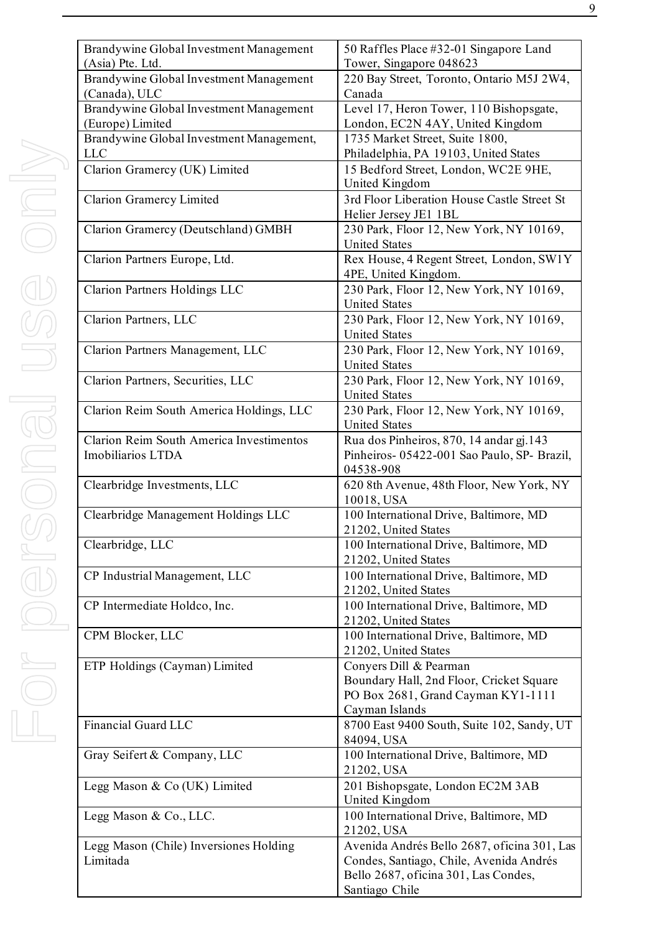| Brandywine Global Investment Management<br>(Asia) Pte. Ltd. | 50 Raffles Place #32-01 Singapore Land<br>Tower, Singapore 048623                                        |
|-------------------------------------------------------------|----------------------------------------------------------------------------------------------------------|
| Brandywine Global Investment Management<br>(Canada), ULC    | 220 Bay Street, Toronto, Ontario M5J 2W4,<br>Canada                                                      |
| Brandywine Global Investment Management<br>(Europe) Limited | Level 17, Heron Tower, 110 Bishopsgate,<br>London, EC2N 4AY, United Kingdom                              |
| Brandywine Global Investment Management,                    | 1735 Market Street, Suite 1800,                                                                          |
| <b>LLC</b>                                                  | Philadelphia, PA 19103, United States                                                                    |
| Clarion Gramercy (UK) Limited                               | 15 Bedford Street, London, WC2E 9HE,                                                                     |
|                                                             | United Kingdom                                                                                           |
| <b>Clarion Gramercy Limited</b>                             | 3rd Floor Liberation House Castle Street St<br>Helier Jersey JE1 1BL                                     |
| Clarion Gramercy (Deutschland) GMBH                         | 230 Park, Floor 12, New York, NY 10169,<br><b>United States</b>                                          |
| Clarion Partners Europe, Ltd.                               | Rex House, 4 Regent Street, London, SW1Y<br>4PE, United Kingdom.                                         |
| <b>Clarion Partners Holdings LLC</b>                        | 230 Park, Floor 12, New York, NY 10169,<br><b>United States</b>                                          |
| Clarion Partners, LLC                                       | 230 Park, Floor 12, New York, NY 10169,<br><b>United States</b>                                          |
| Clarion Partners Management, LLC                            | 230 Park, Floor 12, New York, NY 10169,<br><b>United States</b>                                          |
| Clarion Partners, Securities, LLC                           | 230 Park, Floor 12, New York, NY 10169,<br><b>United States</b>                                          |
| Clarion Reim South America Holdings, LLC                    | 230 Park, Floor 12, New York, NY 10169,<br><b>United States</b>                                          |
| <b>Clarion Reim South America Investimentos</b>             | Rua dos Pinheiros, 870, 14 andar gj. 143                                                                 |
| Imobiliarios LTDA                                           | Pinheiros- 05422-001 Sao Paulo, SP- Brazil,<br>04538-908                                                 |
| Clearbridge Investments, LLC                                | 620 8th Avenue, 48th Floor, New York, NY<br>10018, USA                                                   |
| Clearbridge Management Holdings LLC                         | 100 International Drive, Baltimore, MD<br>21202, United States                                           |
| Clearbridge, LLC                                            | 100 International Drive, Baltimore, MD<br>21202, United States                                           |
| CP Industrial Management, LLC                               | 100 International Drive, Baltimore, MD<br>21202, United States                                           |
| CP Intermediate Holdco, Inc.                                | 100 International Drive, Baltimore, MD<br>21202, United States                                           |
| CPM Blocker, LLC                                            | 100 International Drive, Baltimore, MD<br>21202, United States                                           |
| ETP Holdings (Cayman) Limited                               | Conyers Dill & Pearman<br>Boundary Hall, 2nd Floor, Cricket Square<br>PO Box 2681, Grand Cayman KY1-1111 |
|                                                             | Cayman Islands                                                                                           |
| Financial Guard LLC                                         | 8700 East 9400 South, Suite 102, Sandy, UT<br>84094, USA                                                 |
| Gray Seifert & Company, LLC                                 | 100 International Drive, Baltimore, MD<br>21202, USA                                                     |
| Legg Mason & Co (UK) Limited                                | 201 Bishopsgate, London EC2M 3AB<br>United Kingdom                                                       |
| Legg Mason & Co., LLC.                                      | 100 International Drive, Baltimore, MD<br>21202, USA                                                     |
| Legg Mason (Chile) Inversiones Holding                      | Avenida Andrés Bello 2687, oficina 301, Las                                                              |
| Limitada                                                    | Condes, Santiago, Chile, Avenida Andrés                                                                  |
|                                                             | Bello 2687, oficina 301, Las Condes,                                                                     |
|                                                             | Santiago Chile                                                                                           |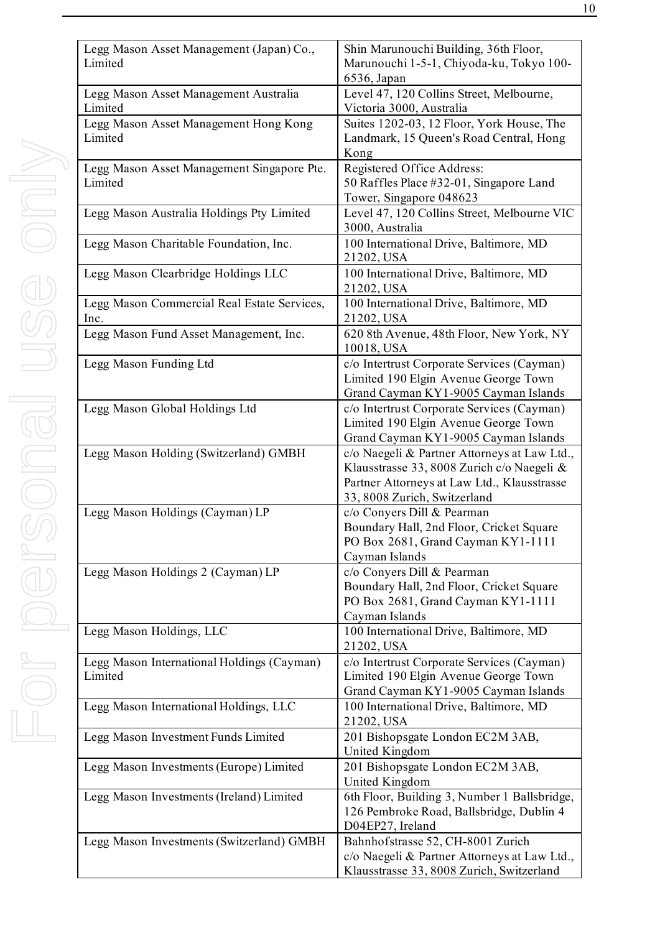| Legg Mason<br>Limited   |
|-------------------------|
| Legg Mason.<br>Limited  |
| Legg Mason.<br>Limited  |
| Legg Mason.<br>Limited  |
| Legg Mason.             |
| Legg Mason              |
| Legg Mason              |
| Legg Mason<br>Inc.      |
| Legg Mason              |
| Legg Mason 1            |
| Legg Mason              |
| Legg Mason 1            |
| Legg Mason              |
| Legg Mason 1            |
| Legg Mason              |
| Legg Mason 1<br>Limited |
| Legg Mason              |
| Legg Mason 1            |
|                         |

| Legg Mason Asset Management (Japan) Co.,<br>Limited   | Shin Marunouchi Building, 36th Floor,<br>Marunouchi 1-5-1, Chiyoda-ku, Tokyo 100-<br>6536, Japan                                                                          |  |  |
|-------------------------------------------------------|---------------------------------------------------------------------------------------------------------------------------------------------------------------------------|--|--|
| Legg Mason Asset Management Australia<br>Limited      | Level 47, 120 Collins Street, Melbourne,<br>Victoria 3000, Australia                                                                                                      |  |  |
| Legg Mason Asset Management Hong Kong<br>Limited      | Suites 1202-03, 12 Floor, York House, The<br>Landmark, 15 Queen's Road Central, Hong<br>Kong                                                                              |  |  |
| Legg Mason Asset Management Singapore Pte.<br>Limited | Registered Office Address:<br>50 Raffles Place #32-01, Singapore Land<br>Tower, Singapore 048623                                                                          |  |  |
| Legg Mason Australia Holdings Pty Limited             | Level 47, 120 Collins Street, Melbourne VIC<br>3000, Australia                                                                                                            |  |  |
| Legg Mason Charitable Foundation, Inc.                | 100 International Drive, Baltimore, MD<br>21202, USA                                                                                                                      |  |  |
| Legg Mason Clearbridge Holdings LLC                   | 100 International Drive, Baltimore, MD<br>21202, USA                                                                                                                      |  |  |
| Legg Mason Commercial Real Estate Services,<br>Inc.   | 100 International Drive, Baltimore, MD<br>21202, USA                                                                                                                      |  |  |
| Legg Mason Fund Asset Management, Inc.                | 620 8th Avenue, 48th Floor, New York, NY<br>10018, USA                                                                                                                    |  |  |
| Legg Mason Funding Ltd                                | c/o Intertrust Corporate Services (Cayman)<br>Limited 190 Elgin Avenue George Town<br>Grand Cayman KY1-9005 Cayman Islands                                                |  |  |
| Legg Mason Global Holdings Ltd                        | c/o Intertrust Corporate Services (Cayman)<br>Limited 190 Elgin Avenue George Town<br>Grand Cayman KY1-9005 Cayman Islands                                                |  |  |
| Legg Mason Holding (Switzerland) GMBH                 | c/o Naegeli & Partner Attorneys at Law Ltd.,<br>Klausstrasse 33, 8008 Zurich c/o Naegeli &<br>Partner Attorneys at Law Ltd., Klausstrasse<br>33, 8008 Zurich, Switzerland |  |  |
| Legg Mason Holdings (Cayman) LP                       | c/o Conyers Dill & Pearman<br>Boundary Hall, 2nd Floor, Cricket Square<br>PO Box 2681, Grand Cayman KY1-1111<br>Cayman Islands                                            |  |  |
| Legg Mason Holdings 2 (Cayman) LP                     | c/o Conyers Dill & Pearman<br>Boundary Hall, 2nd Floor, Cricket Square<br>PO Box 2681, Grand Cayman KY1-1111<br>Cayman Islands                                            |  |  |
| Legg Mason Holdings, LLC                              | 100 International Drive, Baltimore, MD<br>21202, USA                                                                                                                      |  |  |
| Legg Mason International Holdings (Cayman)<br>Limited | c/o Intertrust Corporate Services (Cayman)<br>Limited 190 Elgin Avenue George Town<br>Grand Cayman KY1-9005 Cayman Islands                                                |  |  |
| Legg Mason International Holdings, LLC                | 100 International Drive, Baltimore, MD<br>21202, USA                                                                                                                      |  |  |
| Legg Mason Investment Funds Limited                   | 201 Bishopsgate London EC2M 3AB,<br>United Kingdom                                                                                                                        |  |  |
| Legg Mason Investments (Europe) Limited               | 201 Bishopsgate London EC2M 3AB,<br>United Kingdom                                                                                                                        |  |  |
| Legg Mason Investments (Ireland) Limited              | 6th Floor, Building 3, Number 1 Ballsbridge,<br>126 Pembroke Road, Ballsbridge, Dublin 4<br>D04EP27, Ireland                                                              |  |  |
| Legg Mason Investments (Switzerland) GMBH             | Bahnhofstrasse 52, CH-8001 Zurich<br>c/o Naegeli & Partner Attorneys at Law Ltd.,<br>Klausstrasse 33, 8008 Zurich, Switzerland                                            |  |  |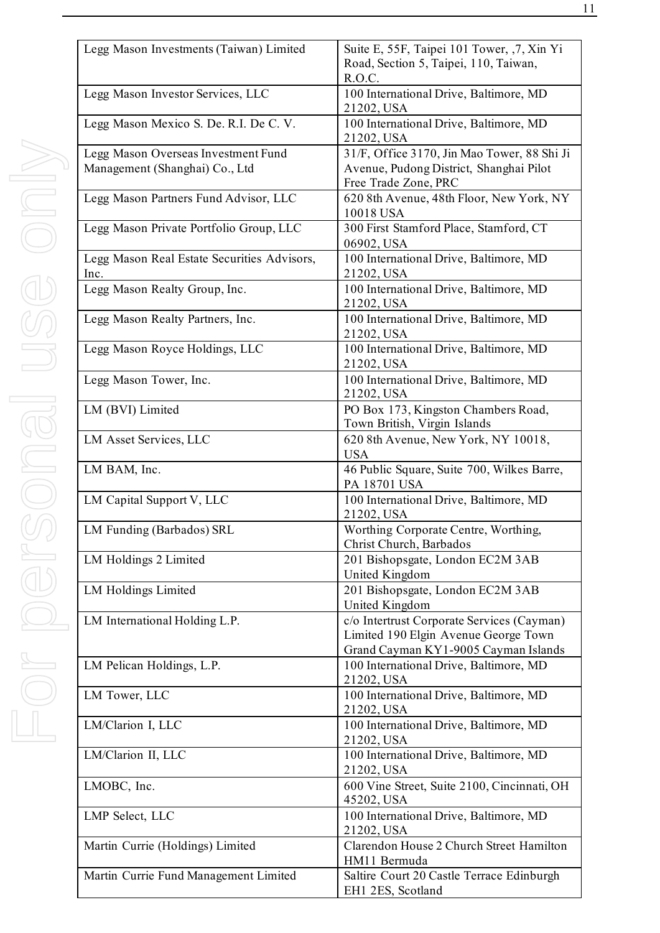| Legg Mason Investments (Taiwan) Limited                               | Suite E, 55F, Taipei 101 Tower, ,7, Xin Yi<br>Road, Section 5, Taipei, 110, Taiwan,<br>R.O.C.                              |  |  |
|-----------------------------------------------------------------------|----------------------------------------------------------------------------------------------------------------------------|--|--|
| Legg Mason Investor Services, LLC                                     | 100 International Drive, Baltimore, MD<br>21202, USA                                                                       |  |  |
| Legg Mason Mexico S. De. R.I. De C. V.                                | 100 International Drive, Baltimore, MD<br>21202, USA                                                                       |  |  |
| Legg Mason Overseas Investment Fund<br>Management (Shanghai) Co., Ltd | 31/F, Office 3170, Jin Mao Tower, 88 Shi Ji<br>Avenue, Pudong District, Shanghai Pilot<br>Free Trade Zone, PRC             |  |  |
| Legg Mason Partners Fund Advisor, LLC                                 | 620 8th Avenue, 48th Floor, New York, NY<br>10018 USA                                                                      |  |  |
| Legg Mason Private Portfolio Group, LLC                               | 300 First Stamford Place, Stamford, CT<br>06902, USA                                                                       |  |  |
| Legg Mason Real Estate Securities Advisors,<br>Inc.                   | 100 International Drive, Baltimore, MD<br>21202, USA                                                                       |  |  |
| Legg Mason Realty Group, Inc.                                         | 100 International Drive, Baltimore, MD<br>21202, USA                                                                       |  |  |
| Legg Mason Realty Partners, Inc.                                      | 100 International Drive, Baltimore, MD<br>21202, USA                                                                       |  |  |
| Legg Mason Royce Holdings, LLC                                        | 100 International Drive, Baltimore, MD<br>21202, USA                                                                       |  |  |
| Legg Mason Tower, Inc.                                                | 100 International Drive, Baltimore, MD<br>21202, USA                                                                       |  |  |
| LM (BVI) Limited                                                      | PO Box 173, Kingston Chambers Road,<br>Town British, Virgin Islands                                                        |  |  |
| LM Asset Services, LLC                                                | 620 8th Avenue, New York, NY 10018,<br><b>USA</b>                                                                          |  |  |
| LM BAM, Inc.                                                          | 46 Public Square, Suite 700, Wilkes Barre,<br>PA 18701 USA                                                                 |  |  |
| LM Capital Support V, LLC                                             | 100 International Drive, Baltimore, MD<br>21202, USA                                                                       |  |  |
| LM Funding (Barbados) SRL                                             | Worthing Corporate Centre, Worthing,<br>Christ Church, Barbados                                                            |  |  |
| LM Holdings 2 Limited                                                 | 201 Bishopsgate, London EC2M 3AB<br>United Kingdom                                                                         |  |  |
| <b>LM Holdings Limited</b>                                            | 201 Bishopsgate, London EC2M 3AB<br>United Kingdom                                                                         |  |  |
| LM International Holding L.P.                                         | c/o Intertrust Corporate Services (Cayman)<br>Limited 190 Elgin Avenue George Town<br>Grand Cayman KY1-9005 Cayman Islands |  |  |
| LM Pelican Holdings, L.P.                                             | 100 International Drive, Baltimore, MD<br>21202, USA                                                                       |  |  |
| LM Tower, LLC                                                         | 100 International Drive, Baltimore, MD<br>21202, USA                                                                       |  |  |
| LM/Clarion I, LLC                                                     | 100 International Drive, Baltimore, MD<br>21202, USA                                                                       |  |  |
| LM/Clarion II, LLC                                                    | 100 International Drive, Baltimore, MD<br>21202, USA                                                                       |  |  |
| LMOBC, Inc.                                                           | 600 Vine Street, Suite 2100, Cincinnati, OH<br>45202, USA                                                                  |  |  |
| LMP Select, LLC                                                       | 100 International Drive, Baltimore, MD<br>21202, USA                                                                       |  |  |
| Martin Currie (Holdings) Limited                                      | Clarendon House 2 Church Street Hamilton<br>HM11 Bermuda                                                                   |  |  |
| Martin Currie Fund Management Limited                                 | Saltire Court 20 Castle Terrace Edinburgh<br>EH1 2ES, Scotland                                                             |  |  |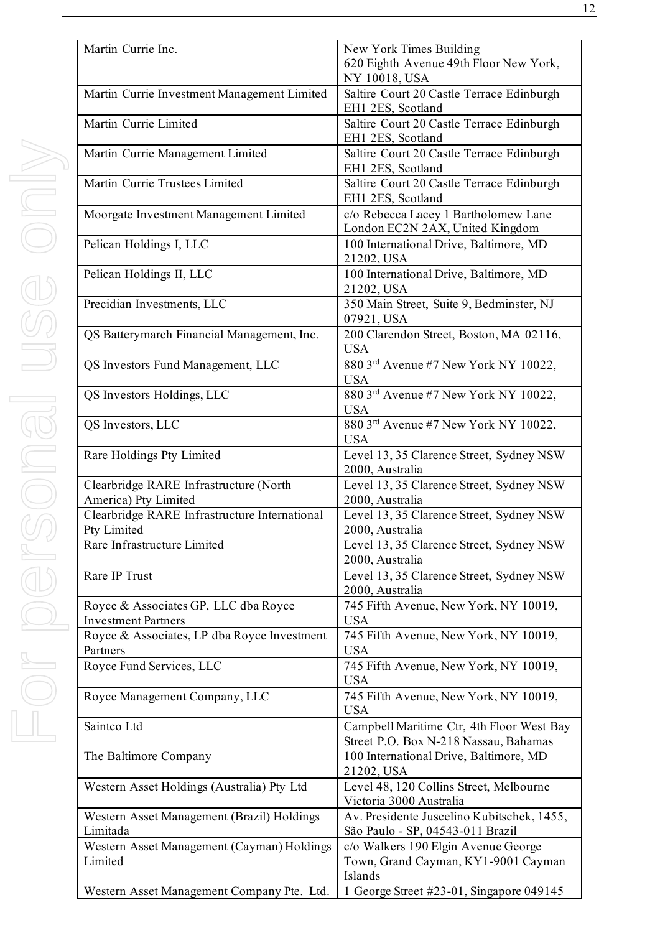| Martin Currie Inc.                                                 | New York Times Building<br>620 Eighth Avenue 49th Floor New York,<br>NY 10018, USA    |  |  |
|--------------------------------------------------------------------|---------------------------------------------------------------------------------------|--|--|
| Martin Currie Investment Management Limited                        | Saltire Court 20 Castle Terrace Edinburgh<br>EH1 2ES, Scotland                        |  |  |
| Martin Currie Limited                                              | Saltire Court 20 Castle Terrace Edinburgh<br>EH1 2ES, Scotland                        |  |  |
| Martin Currie Management Limited                                   | Saltire Court 20 Castle Terrace Edinburgh<br>EH1 2ES, Scotland                        |  |  |
| Martin Currie Trustees Limited                                     | Saltire Court 20 Castle Terrace Edinburgh<br>EH1 2ES, Scotland                        |  |  |
| Moorgate Investment Management Limited                             | c/o Rebecca Lacey 1 Bartholomew Lane<br>London EC2N 2AX, United Kingdom               |  |  |
| Pelican Holdings I, LLC                                            | 100 International Drive, Baltimore, MD<br>21202, USA                                  |  |  |
| Pelican Holdings II, LLC                                           | 100 International Drive, Baltimore, MD<br>21202, USA                                  |  |  |
| Precidian Investments, LLC                                         | 350 Main Street, Suite 9, Bedminster, NJ<br>07921, USA                                |  |  |
| QS Batterymarch Financial Management, Inc.                         | 200 Clarendon Street, Boston, MA 02116,<br><b>USA</b>                                 |  |  |
| QS Investors Fund Management, LLC                                  | 880 3rd Avenue #7 New York NY 10022,<br><b>USA</b>                                    |  |  |
| QS Investors Holdings, LLC                                         | 880 3rd Avenue #7 New York NY 10022,<br><b>USA</b>                                    |  |  |
| QS Investors, LLC                                                  | 880 3rd Avenue #7 New York NY 10022,<br><b>USA</b>                                    |  |  |
| Rare Holdings Pty Limited                                          | Level 13, 35 Clarence Street, Sydney NSW<br>2000, Australia                           |  |  |
| Clearbridge RARE Infrastructure (North                             | Level 13, 35 Clarence Street, Sydney NSW                                              |  |  |
| America) Pty Limited                                               | 2000, Australia                                                                       |  |  |
| Clearbridge RARE Infrastructure International                      | Level 13, 35 Clarence Street, Sydney NSW                                              |  |  |
| Pty Limited                                                        | 2000, Australia                                                                       |  |  |
| Rare Infrastructure Limited                                        | Level 13, 35 Clarence Street, Sydney NSW<br>2000, Australia                           |  |  |
| Rare IP Trust                                                      | Level 13, 35 Clarence Street, Sydney NSW<br>2000, Australia                           |  |  |
| Royce & Associates GP, LLC dba Royce<br><b>Investment Partners</b> | 745 Fifth Avenue, New York, NY 10019,<br><b>USA</b>                                   |  |  |
| Royce & Associates, LP dba Royce Investment<br>Partners            | 745 Fifth Avenue, New York, NY 10019,<br><b>USA</b>                                   |  |  |
| Royce Fund Services, LLC                                           | 745 Fifth Avenue, New York, NY 10019,<br><b>USA</b>                                   |  |  |
| Royce Management Company, LLC                                      | 745 Fifth Avenue, New York, NY 10019,<br><b>USA</b>                                   |  |  |
| Saintco Ltd                                                        | Campbell Maritime Ctr, 4th Floor West Bay<br>Street P.O. Box N-218 Nassau, Bahamas    |  |  |
| The Baltimore Company                                              | 100 International Drive, Baltimore, MD<br>21202, USA                                  |  |  |
| Western Asset Holdings (Australia) Pty Ltd                         | Level 48, 120 Collins Street, Melbourne<br>Victoria 3000 Australia                    |  |  |
| Western Asset Management (Brazil) Holdings<br>Limitada             | Av. Presidente Juscelino Kubitschek, 1455,<br>São Paulo - SP, 04543-011 Brazil        |  |  |
| Western Asset Management (Cayman) Holdings<br>Limited              | c/o Walkers 190 Elgin Avenue George<br>Town, Grand Cayman, KY1-9001 Cayman<br>Islands |  |  |
| Western Asset Management Company Pte. Ltd.                         | 1 George Street #23-01, Singapore 049145                                              |  |  |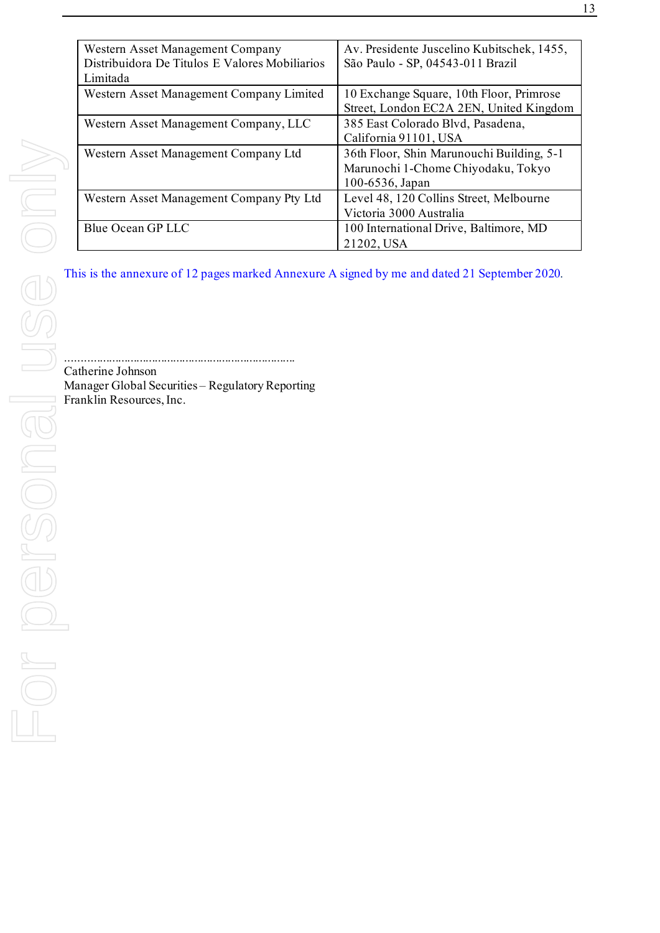| Western Asset Management Company<br>Distribuidora De Titulos E Valores Mobiliarios<br>Limitada    | Av. Presidente Juscelino Kubitschek, 1455,<br>São Paulo - SP, 04543-011 Brazil                     |  |  |
|---------------------------------------------------------------------------------------------------|----------------------------------------------------------------------------------------------------|--|--|
| Western Asset Management Company Limited                                                          | 10 Exchange Square, 10th Floor, Primrose<br>Street, London EC2A 2EN, United Kingdom                |  |  |
| Western Asset Management Company, LLC                                                             | 385 East Colorado Blvd, Pasadena,<br>California 91101, USA                                         |  |  |
| Western Asset Management Company Ltd                                                              | 36th Floor, Shin Marunouchi Building, 5-1<br>Marunochi 1-Chome Chiyodaku, Tokyo<br>100-6536, Japan |  |  |
| Western Asset Management Company Pty Ltd                                                          | Level 48, 120 Collins Street, Melbourne<br>Victoria 3000 Australia                                 |  |  |
| Blue Ocean GP LLC                                                                                 | 100 International Drive, Baltimore, MD<br>21202, USA                                               |  |  |
| This is the annexure of 12 pages marked Annexure A signed by me and dated 21 September 2020.      |                                                                                                    |  |  |
|                                                                                                   |                                                                                                    |  |  |
| Catherine Johnson<br>Manager Global Securities - Regulatory Reporting<br>Franklin Resources, Inc. |                                                                                                    |  |  |
|                                                                                                   |                                                                                                    |  |  |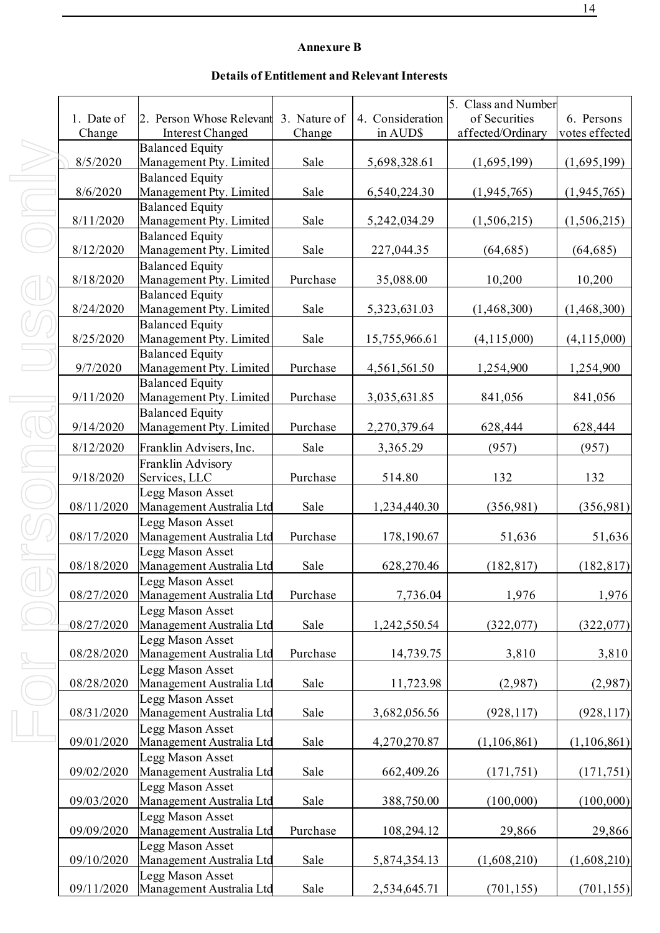# **Annexure B**

# **Details of Entitlement and Relevant Interests**

|            |                                                   |          |                  | 5. Class and Number |                |
|------------|---------------------------------------------------|----------|------------------|---------------------|----------------|
| 1. Date of | 2. Person Whose Relevant 3. Nature of             |          | 4. Consideration | of Securities       | 6. Persons     |
| Change     | <b>Interest Changed</b>                           | Change   | in AUD\$         | affected/Ordinary   | votes effected |
|            | <b>Balanced Equity</b>                            |          |                  |                     |                |
| 8/5/2020   | Management Pty. Limited                           | Sale     | 5,698,328.61     | (1,695,199)         | (1,695,199)    |
|            | <b>Balanced Equity</b>                            |          |                  |                     |                |
| 8/6/2020   | Management Pty. Limited                           | Sale     | 6,540,224.30     | (1,945,765)         | (1,945,765)    |
|            | <b>Balanced Equity</b>                            |          |                  |                     |                |
| 8/11/2020  | Management Pty. Limited                           | Sale     | 5,242,034.29     | (1,506,215)         | (1,506,215)    |
|            | <b>Balanced Equity</b>                            |          |                  |                     |                |
| 8/12/2020  | Management Pty. Limited                           | Sale     | 227,044.35       | (64, 685)           | (64, 685)      |
| 8/18/2020  | <b>Balanced Equity</b>                            | Purchase |                  |                     |                |
|            | Management Pty. Limited<br><b>Balanced Equity</b> |          | 35,088.00        | 10,200              | 10,200         |
| 8/24/2020  | Management Pty. Limited                           | Sale     | 5,323,631.03     | (1,468,300)         | (1,468,300)    |
|            | <b>Balanced Equity</b>                            |          |                  |                     |                |
| 8/25/2020  | Management Pty. Limited                           | Sale     | 15,755,966.61    | (4, 115, 000)       | (4,115,000)    |
|            | <b>Balanced Equity</b>                            |          |                  |                     |                |
| 9/7/2020   | Management Pty. Limited                           | Purchase | 4,561,561.50     | 1,254,900           | 1,254,900      |
|            | <b>Balanced Equity</b>                            |          |                  |                     |                |
| 9/11/2020  | Management Pty. Limited                           | Purchase | 3,035,631.85     | 841,056             | 841,056        |
|            | <b>Balanced Equity</b>                            |          |                  |                     |                |
| 9/14/2020  | Management Pty. Limited                           | Purchase | 2,270,379.64     | 628,444             | 628,444        |
| 8/12/2020  | Franklin Advisers, Inc.                           | Sale     | 3,365.29         | (957)               | (957)          |
|            | Franklin Advisory                                 |          |                  |                     |                |
| 9/18/2020  | Services, LLC                                     | Purchase | 514.80           | 132                 | 132            |
|            | Legg Mason Asset                                  |          |                  |                     |                |
| 08/11/2020 | Management Australia Ltd                          | Sale     | 1,234,440.30     | (356,981)           | (356,981)      |
|            | Legg Mason Asset                                  |          |                  |                     |                |
| 08/17/2020 | Management Australia Ltd                          | Purchase | 178,190.67       | 51,636              | 51,636         |
|            | Legg Mason Asset                                  |          |                  |                     |                |
| 08/18/2020 | Management Australia Ltd                          | Sale     | 628,270.46       | (182, 817)          | (182, 817)     |
| 08/27/2020 | Legg Mason Asset<br>Management Australia Ltd      | Purchase | 7,736.04         | 1,976               | 1,976          |
|            | Legg Mason Asset                                  |          |                  |                     |                |
| 08/27/2020 | Management Australia Ltd                          | Sale     | 1,242,550.54     | (322,077)           | (322,077)      |
|            | Legg Mason Asset                                  |          |                  |                     |                |
| 08/28/2020 | Management Australia Ltd                          | Purchase | 14,739.75        | 3,810               | 3,810          |
|            | Legg Mason Asset                                  |          |                  |                     |                |
| 08/28/2020 | Management Australia Ltd                          | Sale     | 11,723.98        | (2,987)             | (2,987)        |
|            | Legg Mason Asset                                  |          |                  |                     |                |
| 08/31/2020 | Management Australia Ltd                          | Sale     | 3,682,056.56     | (928, 117)          | (928, 117)     |
|            | Legg Mason Asset                                  |          |                  |                     |                |
| 09/01/2020 | Management Australia Ltd                          | Sale     | 4,270,270.87     | (1,106,861)         | (1,106,861)    |
| 09/02/2020 | Legg Mason Asset<br>Management Australia Ltd      | Sale     | 662,409.26       |                     |                |
|            | Legg Mason Asset                                  |          |                  | (171, 751)          | (171, 751)     |
| 09/03/2020 | Management Australia Ltd                          | Sale     | 388,750.00       | (100,000)           | (100,000)      |
|            | Legg Mason Asset                                  |          |                  |                     |                |
| 09/09/2020 | Management Australia Ltd                          | Purchase | 108,294.12       | 29,866              | 29,866         |
|            | Legg Mason Asset                                  |          |                  |                     |                |
| 09/10/2020 | Management Australia Ltd                          | Sale     | 5,874,354.13     | (1,608,210)         | (1,608,210)    |
|            | Legg Mason Asset                                  |          |                  |                     |                |
| 09/11/2020 | Management Australia Ltd                          | Sale     | 2,534,645.71     | (701, 155)          | (701, 155)     |

For personal use only